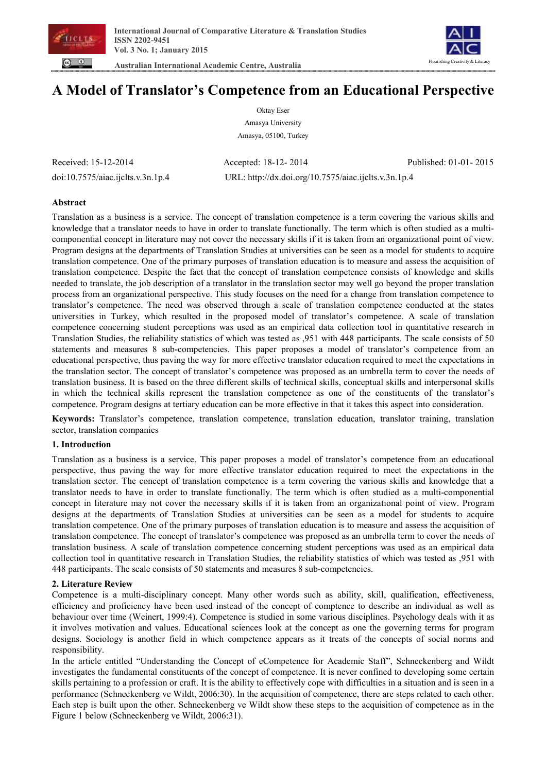

 **Australian International Academic Centre, Australia** 



# **A Model of Translator's Competence from an Educational Perspective**

Oktay Eser Amasya University Amasya, 05100, Turkey

Received: 15-12-2014 Accepted: 18-12- 2014 Published: 01-01- 2015 doi:10.7575/aiac.ijclts.v.3n.1p.4 URL: http://dx.doi.org/10.7575/aiac.ijclts.v.3n.1p.4

# **Abstract**

Translation as a business is a service. The concept of translation competence is a term covering the various skills and knowledge that a translator needs to have in order to translate functionally. The term which is often studied as a multicomponential concept in literature may not cover the necessary skills if it is taken from an organizational point of view. Program designs at the departments of Translation Studies at universities can be seen as a model for students to acquire translation competence. One of the primary purposes of translation education is to measure and assess the acquisition of translation competence. Despite the fact that the concept of translation competence consists of knowledge and skills needed to translate, the job description of a translator in the translation sector may well go beyond the proper translation process from an organizational perspective. This study focuses on the need for a change from translation competence to translator's competence. The need was observed through a scale of translation competence conducted at the states universities in Turkey, which resulted in the proposed model of translator's competence. A scale of translation competence concerning student perceptions was used as an empirical data collection tool in quantitative research in Translation Studies, the reliability statistics of which was tested as ,951 with 448 participants. The scale consists of 50 statements and measures 8 sub-competencies. This paper proposes a model of translator's competence from an educational perspective, thus paving the way for more effective translator education required to meet the expectations in the translation sector. The concept of translator's competence was proposed as an umbrella term to cover the needs of translation business. It is based on the three different skills of technical skills, conceptual skills and interpersonal skills in which the technical skills represent the translation competence as one of the constituents of the translator's competence. Program designs at tertiary education can be more effective in that it takes this aspect into consideration.

**Keywords:** Translator's competence, translation competence, translation education, translator training, translation sector, translation companies

# **1. Introduction**

Translation as a business is a service. This paper proposes a model of translator's competence from an educational perspective, thus paving the way for more effective translator education required to meet the expectations in the translation sector. The concept of translation competence is a term covering the various skills and knowledge that a translator needs to have in order to translate functionally. The term which is often studied as a multi-componential concept in literature may not cover the necessary skills if it is taken from an organizational point of view. Program designs at the departments of Translation Studies at universities can be seen as a model for students to acquire translation competence. One of the primary purposes of translation education is to measure and assess the acquisition of translation competence. The concept of translator's competence was proposed as an umbrella term to cover the needs of translation business. A scale of translation competence concerning student perceptions was used as an empirical data collection tool in quantitative research in Translation Studies, the reliability statistics of which was tested as ,951 with 448 participants. The scale consists of 50 statements and measures 8 sub-competencies.

# **2. Literature Review**

Competence is a multi-disciplinary concept. Many other words such as ability, skill, qualification, effectiveness, efficiency and proficiency have been used instead of the concept of comptence to describe an individual as well as behaviour over time (Weinert, 1999:4). Competence is studied in some various disciplines. Psychology deals with it as it involves motivation and values. Educational sciences look at the concept as one the governing terms for program designs. Sociology is another field in which competence appears as it treats of the concepts of social norms and responsibility.

In the article entitled "Understanding the Concept of eCompetence for Academic Staff", Schneckenberg and Wildt investigates the fundamental constituents of the concept of competence. It is never confined to developing some certain skills pertaining to a profession or craft. It is the ability to effectively cope with difficulties in a situation and is seen in a performance (Schneckenberg ve Wildt, 2006:30). In the acquisition of competence, there are steps related to each other. Each step is built upon the other. Schneckenberg ve Wildt show these steps to the acquisition of competence as in the Figure 1 below (Schneckenberg ve Wildt, 2006:31).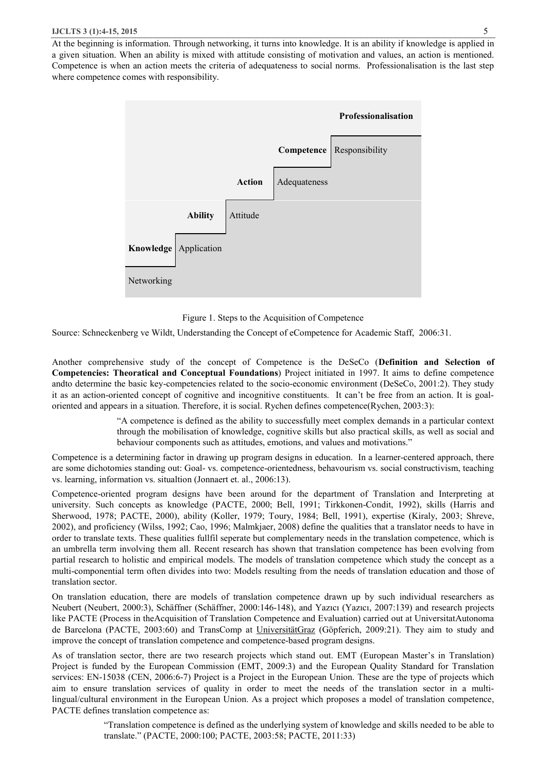#### **IJCLTS 3 (1):4-15, 2015** 5

At the beginning is information. Through networking, it turns into knowledge. It is an ability if knowledge is applied in a given situation. When an ability is mixed with attitude consisting of motivation and values, an action is mentioned. Competence is when an action meets the criteria of adequateness to social norms. Professionalisation is the last step where competence comes with responsibility.



Figure 1. Steps to the Acquisition of Competence

Source: Schneckenberg ve Wildt, Understanding the Concept of eCompetence for Academic Staff, 2006:31.

Another comprehensive study of the concept of Competence is the DeSeCo (**Definition and Selection of Competencies: Theoratical and Conceptual Foundations**) Project initiated in 1997. It aims to define competence andto determine the basic key-competencies related to the socio-economic environment (DeSeCo, 2001:2). They study it as an action-oriented concept of cognitive and incognitive constituents. It can't be free from an action. It is goaloriented and appears in a situation. Therefore, it is social. Rychen defines competence(Rychen, 2003:3):

> "A competence is defined as the ability to successfully meet complex demands in a particular context through the mobilisation of knowledge, cognitive skills but also practical skills, as well as social and behaviour components such as attitudes, emotions, and values and motivations."

Competence is a determining factor in drawing up program designs in education. In a learner-centered approach, there are some dichotomies standing out: Goal- vs. competence-orientedness, behavourism vs. social constructivism, teaching vs. learning, information vs. situaltion (Jonnaert et. al., 2006:13).

Competence-oriented program designs have been around for the department of Translation and Interpreting at university. Such concepts as knowledge (PACTE, 2000; Bell, 1991; Tirkkonen-Condit, 1992), skills (Harris and Sherwood, 1978; PACTE, 2000), ability (Koller, 1979; Toury, 1984; Bell, 1991), expertise (Kiraly, 2003; Shreve, 2002), and proficiency (Wilss, 1992; Cao, 1996; Malmkjaer, 2008) define the qualities that a translator needs to have in order to translate texts. These qualities fullfil seperate but complementary needs in the translation competence, which is an umbrella term involving them all. Recent research has shown that translation competence has been evolving from partial research to holistic and empirical models. The models of translation competence which study the concept as a multi-componential term often divides into two: Models resulting from the needs of translation education and those of translation sector.

On translation education, there are models of translation competence drawn up by such individual researchers as Neubert (Neubert, 2000:3), Schäffner (Schäffner, 2000:146-148), and Yazıcı (Yazıcı, 2007:139) and research projects like PACTE (Process in theAcquisition of Translation Competence and Evaluation) carried out at UniversitatAutonoma de Barcelona (PACTE, 2003:60) and TransComp at UniversitätGraz (Göpferich, 2009:21). They aim to study and improve the concept of translation competence and competence-based program designs.

As of translation sector, there are two research projects which stand out. EMT (European Master's in Translation) Project is funded by the European Commission (EMT, 2009:3) and the European Quality Standard for Translation services: EN-15038 (CEN, 2006:6-7) Project is a Project in the European Union. These are the type of projects which aim to ensure translation services of quality in order to meet the needs of the translation sector in a multilingual/cultural environment in the European Union. As a project which proposes a model of translation competence, PACTE defines translation competence as:

> "Translation competence is defined as the underlying system of knowledge and skills needed to be able to translate." (PACTE, 2000:100; PACTE, 2003:58; PACTE, 2011:33)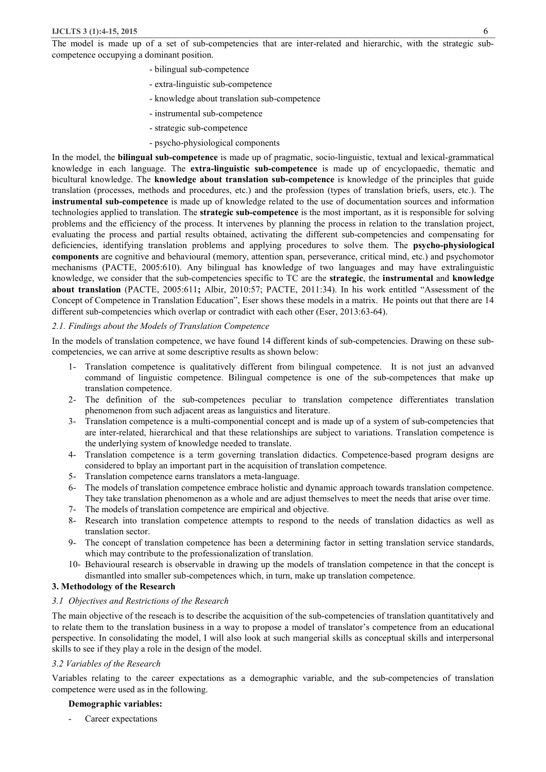The model is made up of a set of sub-competencies that are inter-related and hierarchic, with the strategic subcompetence occupying a dominant position.

- bilingual sub-competence
- extra-linguistic sub-competence
- knowledge about translation sub-competence
- instrumental sub-competence
- strategic sub-competence
- psycho-physiological components

In the model, the **bilingual sub-competence** is made up of pragmatic, socio-linguistic, textual and lexical-grammatical knowledge in each language. The **extra-linguistic sub-competence** is made up of encyclopaedic, thematic and bicultural knowledge. The **knowledge about translation sub-competence** is knowledge of the principles that guide translation (processes, methods and procedures, etc.) and the profession (types of translation briefs, users, etc.). The **instrumental sub-competence** is made up of knowledge related to the use of documentation sources and information technologies applied to translation. The **strategic sub-competence** is the most important, as it is responsible for solving problems and the efficiency of the process. It intervenes by planning the process in relation to the translation project, evaluating the process and partial results obtained, activating the different sub-competencies and compensating for deficiencies, identifying translation problems and applying procedures to solve them. The **psycho-physiological components** are cognitive and behavioural (memory, attention span, perseverance, critical mind, etc.) and psychomotor mechanisms (PACTE, 2005:610). Any bilingual has knowledge of two languages and may have extralinguistic knowledge, we consider that the sub-competencies specific to TC are the **strategic**, the **instrumental** and **knowledge about translation** (PACTE, 2005:611**;** Albir, 2010:57; PACTE, 2011:34). In his work entitled "Assessment of the Concept of Competence in Translation Education", Eser shows these models in a matrix. He points out that there are 14 different sub-competencies which overlap or contradict with each other (Eser, 2013:63-64).

# *2.1. Findings about the Models of Translation Competence*

In the models of translation competence, we have found 14 different kinds of sub-competencies. Drawing on these subcompetencies, we can arrive at some descriptive results as shown below:

- 1- Translation competence is qualitatively different from bilingual competence. It is not just an advanved command of linguistic competence. Bilingual competence is one of the sub-competences that make up translation competence.
- 2- The definition of the sub-competences peculiar to translation competence differentiates translation phenomenon from such adjacent areas as languistics and literature.
- 3- Translation competence is a multi-componential concept and is made up of a system of sub-competencies that are inter-related, hierarchical and that these relationships are subject to variations. Translation competence is the underlying system of knowledge needed to translate.
- 4- Translation competence is a term governing translation didactics. Competence-based program designs are considered to bplay an important part in the acquisition of translation competence.
- 5- Translation competence earns translators a meta-language.
- 6- The models of translation competence embrace holistic and dynamic approach towards translation competence. They take translation phenomenon as a whole and are adjust themselves to meet the needs that arise over time.
- 7- The models of translation competence are empirical and objective.
- 8- Research into translation competence attempts to respond to the needs of translation didactics as well as translation sector.
- 9- The concept of translation competence has been a determining factor in setting translation service standards, which may contribute to the professionalization of translation.
- 10- Behavioural research is observable in drawing up the models of translation competence in that the concept is dismantled into smaller sub-competences which, in turn, make up translation competence.

# **3. Methodology of the Research**

## *3.1 Objectives and Restrictions of the Research*

The main objective of the reseach is to describe the acquisition of the sub-competencies of translation quantitatively and to relate them to the translation business in a way to propose a model of translator's competence from an educational perspective. In consolidating the model, I will also look at such mangerial skills as conceptual skills and interpersonal skills to see if they play a role in the design of the model.

## *3.2 Variables of the Research*

Variables relating to the career expectations as a demographic variable, and the sub-competencies of translation competence were used as in the following.

## **Demographic variables:**

Career expectations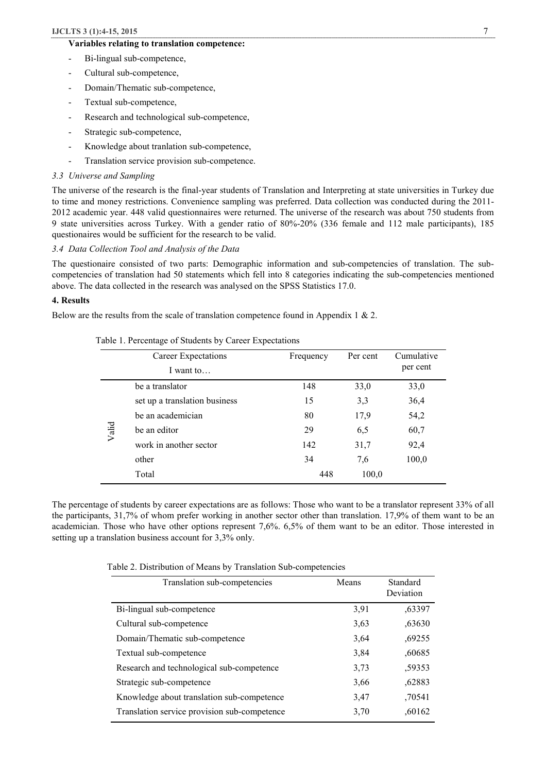# **Variables relating to translation competence:**

- Bi-lingual sub-competence,
- Cultural sub-competence,
- Domain/Thematic sub-competence,
- Textual sub-competence,
- Research and technological sub-competence,
- Strategic sub-competence,
- Knowledge about tranlation sub-competence,
- Translation service provision sub-competence.

# *3.3 Universe and Sampling*

The universe of the research is the final-year students of Translation and Interpreting at state universities in Turkey due to time and money restrictions. Convenience sampling was preferred. Data collection was conducted during the 2011- 2012 academic year. 448 valid questionnaires were returned. The universe of the research was about 750 students from 9 state universities across Turkey. With a gender ratio of 80%-20% (336 female and 112 male participants), 185 questionaires would be sufficient for the research to be valid.

### *3.4 Data Collection Tool and Analysis of the Data*

The questionaire consisted of two parts: Demographic information and sub-competencies of translation. The subcompetencies of translation had 50 statements which fell into 8 categories indicating the sub-competencies mentioned above. The data collected in the research was analysed on the SPSS Statistics 17.0.

## **4. Results**

Below are the results from the scale of translation competence found in Appendix 1 & 2.

|       | Career Expectations<br>I want to | Frequency | Per cent | Cumulative<br>per cent |
|-------|----------------------------------|-----------|----------|------------------------|
|       | be a translator                  | 148       | 33,0     | 33,0                   |
|       | set up a translation business    | 15        | 3,3      | 36,4                   |
|       | be an academician                | 80        | 17,9     | 54,2                   |
| Valid | be an editor                     | 29        | 6.5      | 60,7                   |
|       | work in another sector           | 142       | 31,7     | 92,4                   |
|       | other                            | 34        | 7,6      | 100,0                  |
|       | Total                            | 448       | 100,0    |                        |

|  |  |  | Table 1. Percentage of Students by Career Expectations |  |  |  |  |  |  |
|--|--|--|--------------------------------------------------------|--|--|--|--|--|--|
|--|--|--|--------------------------------------------------------|--|--|--|--|--|--|

The percentage of students by career expectations are as follows: Those who want to be a translator represent 33% of all the participants, 31,7% of whom prefer working in another sector other than translation. 17,9% of them want to be an academician. Those who have other options represent 7,6%. 6,5% of them want to be an editor. Those interested in setting up a translation business account for 3,3% only.

Table 2. Distribution of Means by Translation Sub-competencies

| Translation sub-competencies                 | Means | Standard<br>Deviation |
|----------------------------------------------|-------|-----------------------|
| Bi-lingual sub-competence                    | 3,91  | ,63397                |
| Cultural sub-competence                      | 3,63  | ,63630                |
| Domain/Thematic sub-competence               | 3,64  | .69255                |
| Textual sub-competence                       | 3,84  | ,60685                |
| Research and technological sub-competence    | 3,73  | ,59353                |
| Strategic sub-competence                     | 3,66  | ,62883                |
| Knowledge about translation sub-competence   | 3.47  | .70541                |
| Translation service provision sub-competence | 3,70  | .60162                |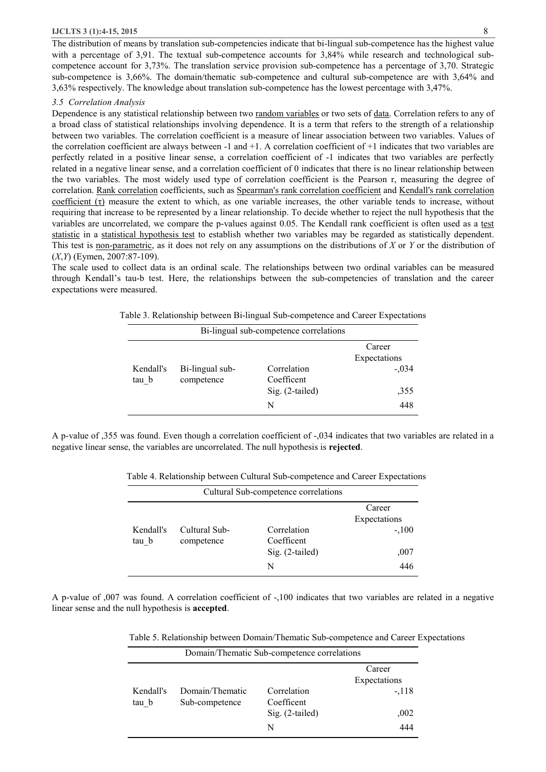#### **IJCLTS 3 (1):4-15, 2015** 8

The distribution of means by translation sub-competencies indicate that bi-lingual sub-competence has the highest value with a percentage of 3,91. The textual sub-competence accounts for 3,84% while research and technological subcompetence account for 3,73%. The translation service provision sub-competence has a percentage of 3,70. Strategic sub-competence is 3,66%. The domain/thematic sub-competence and cultural sub-competence are with 3,64% and 3,63% respectively. The knowledge about translation sub-competence has the lowest percentage with 3,47%.

#### *3.5 Correlation Analysis*

Dependence is any statistical relationship between two random variables or two sets of data. Correlation refers to any of a broad class of statistical relationships involving dependence. It is a term that refers to the strength of a relationship between two variables. The correlation coefficient is a measure of linear association between two variables. Values of the correlation coefficient are always between  $-1$  and  $+1$ . A correlation coefficient of  $+1$  indicates that two variables are perfectly related in a positive linear sense, a correlation coefficient of -1 indicates that two variables are perfectly related in a negative linear sense, and a correlation coefficient of 0 indicates that there is no linear relationship between the two variables. The most widely used type of correlation coefficient is the Pearson r, measuring the degree of correlation. Rank correlation coefficients, such as Spearman's rank correlation coefficient and Kendall's rank correlation coefficient  $(\tau)$  measure the extent to which, as one variable increases, the other variable tends to increase, without requiring that increase to be represented by a linear relationship. To decide whether to reject the null hypothesis that the variables are uncorrelated, we compare the p-values against 0.05. The Kendall rank coefficient is often used as a test statistic in a statistical hypothesis test to establish whether two variables may be regarded as statistically dependent. This test is non-parametric, as it does not rely on any assumptions on the distributions of *X* or *Y* or the distribution of (*X*,*Y*) (Eymen, 2007:87-109).

The scale used to collect data is an ordinal scale. The relationships between two ordinal variables can be measured through Kendall's tau-b test. Here, the relationships between the sub-competencies of translation and the career expectations were measured.

|                    |                               | Bi-lingual sub-competence correlations              |                                                  |
|--------------------|-------------------------------|-----------------------------------------------------|--------------------------------------------------|
| Kendall's<br>tau b | Bi-lingual sub-<br>competence | Correlation<br>Coefficent<br>$Sig. (2-tailed)$<br>N | Career<br>Expectations<br>$-.034$<br>,355<br>448 |

Table 3. Relationship between Bi-lingual Sub-competence and Career Expectations

A p-value of ,355 was found. Even though a correlation coefficient of -,034 indicates that two variables are related in a negative linear sense, the variables are uncorrelated. The null hypothesis is **rejected**.

| Table 4. Relationship between Cultural Sub-competence and Career Expectations |  |  |  |  |
|-------------------------------------------------------------------------------|--|--|--|--|
|-------------------------------------------------------------------------------|--|--|--|--|

|                    |                             | Cultural Sub-competence correlations                |                                                  |
|--------------------|-----------------------------|-----------------------------------------------------|--------------------------------------------------|
| Kendall's<br>tau b | Cultural Sub-<br>competence | Correlation<br>Coefficent<br>$Sig. (2-tailed)$<br>N | Career<br>Expectations<br>$-.100$<br>,007<br>446 |

A p-value of ,007 was found. A correlation coefficient of -,100 indicates that two variables are related in a negative linear sense and the null hypothesis is **accepted**.

Table 5. Relationship between Domain/Thematic Sub-competence and Career Expectations

| Domain/Thematic Sub-competence correlations |                 |                 |              |  |  |
|---------------------------------------------|-----------------|-----------------|--------------|--|--|
|                                             |                 |                 | Career       |  |  |
|                                             |                 |                 | Expectations |  |  |
| Kendall's                                   | Domain/Thematic | Correlation     | $-.118$      |  |  |
| tau b                                       | Sub-competence  | Coefficent      |              |  |  |
|                                             |                 | Sig. (2-tailed) | ,002         |  |  |
|                                             |                 | N               | 444          |  |  |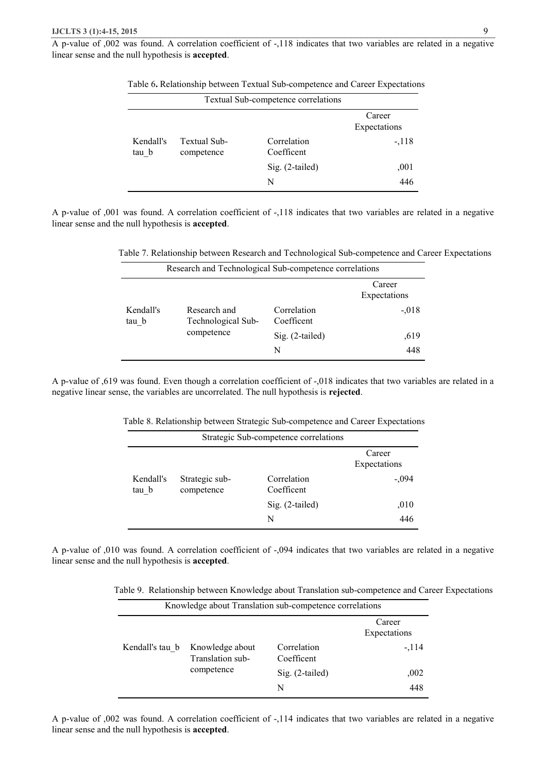A p-value of ,002 was found. A correlation coefficient of -,118 indicates that two variables are related in a negative linear sense and the null hypothesis is **accepted**.

|                    |                            | Textual Sub-competence correlations |                        |
|--------------------|----------------------------|-------------------------------------|------------------------|
|                    |                            |                                     | Career<br>Expectations |
| Kendall's<br>tau b | Textual Sub-<br>competence | Correlation<br>Coefficent           | $-.118$                |
|                    |                            | Sig. (2-tailed)                     | ,001                   |
|                    |                            | N                                   | 446                    |

Table 6**.** Relationship between Textual Sub-competence and Career Expectations

A p-value of ,001 was found. A correlation coefficient of -,118 indicates that two variables are related in a negative linear sense and the null hypothesis is **accepted**.

Table 7. Relationship between Research and Technological Sub-competence and Career Expectations

| Research and Technological Sub-competence correlations |                                    |                           |                        |  |  |
|--------------------------------------------------------|------------------------------------|---------------------------|------------------------|--|--|
|                                                        |                                    |                           | Career<br>Expectations |  |  |
| Kendall's<br>tau b                                     | Research and<br>Technological Sub- | Correlation<br>Coefficent | $-.018$                |  |  |
|                                                        | competence                         | $Sig. (2-tailed)$         | ,619                   |  |  |
|                                                        |                                    | N                         | 448                    |  |  |

A p-value of ,619 was found. Even though a correlation coefficient of -,018 indicates that two variables are related in a negative linear sense, the variables are uncorrelated. The null hypothesis is **rejected**.

| Table 8. Relationship between Strategic Sub-competence and Career Expectations |
|--------------------------------------------------------------------------------|
|--------------------------------------------------------------------------------|

|                    |                              |                           | Career<br>Expectations |
|--------------------|------------------------------|---------------------------|------------------------|
| Kendall's<br>tau b | Strategic sub-<br>competence | Correlation<br>Coefficent | $-.094$                |
|                    |                              | $Sig. (2-tailed)$         | ,010                   |
|                    |                              | N                         | 446                    |

A p-value of ,010 was found. A correlation coefficient of -,094 indicates that two variables are related in a negative linear sense and the null hypothesis is **accepted**.

Table 9.Relationship between Knowledge about Translation sub-competence and Career Expectations

| Knowledge about Translation sub-competence correlations |                                     |                           |                        |  |  |
|---------------------------------------------------------|-------------------------------------|---------------------------|------------------------|--|--|
|                                                         |                                     |                           | Career<br>Expectations |  |  |
| Kendall's tau b                                         | Knowledge about<br>Translation sub- | Correlation<br>Coefficent | $-114$                 |  |  |
|                                                         | competence                          | $\text{Sig.}$ (2-tailed)  | ,002                   |  |  |
|                                                         |                                     | N                         | 448                    |  |  |

A p-value of ,002 was found. A correlation coefficient of -,114 indicates that two variables are related in a negative linear sense and the null hypothesis is **accepted**.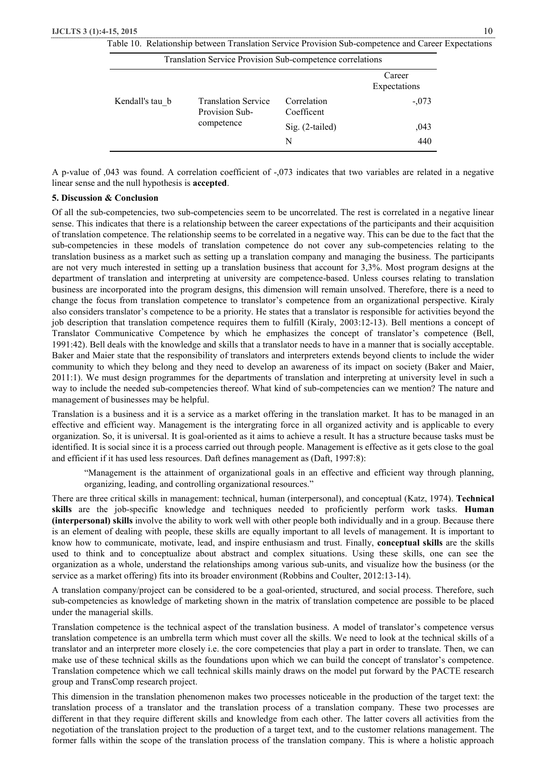|  |  |  | Table 10. Relationship between Translation Service Provision Sub-competence and Career Expectations |
|--|--|--|-----------------------------------------------------------------------------------------------------|
|--|--|--|-----------------------------------------------------------------------------------------------------|

| Translation Service Provision Sub-competence correlations |                                              |                           |                        |  |  |  |
|-----------------------------------------------------------|----------------------------------------------|---------------------------|------------------------|--|--|--|
|                                                           |                                              |                           | Career<br>Expectations |  |  |  |
| Kendall's tau b                                           | <b>Translation Service</b><br>Provision Sub- | Correlation<br>Coefficent | $-.073$                |  |  |  |
|                                                           | competence                                   | $Sig. (2-tailed)$         | ,043                   |  |  |  |
|                                                           |                                              | N                         | 440                    |  |  |  |

A p-value of ,043 was found. A correlation coefficient of -,073 indicates that two variables are related in a negative linear sense and the null hypothesis is **accepted**.

## **5. Discussion & Conclusion**

Of all the sub-competencies, two sub-competencies seem to be uncorrelated. The rest is correlated in a negative linear sense. This indicates that there is a relationship between the career expectations of the participants and their acquisition of translation competence. The relationship seems to be correlated in a negative way. This can be due to the fact that the sub-competencies in these models of translation competence do not cover any sub-competencies relating to the translation business as a market such as setting up a translation company and managing the business. The participants are not very much interested in setting up a translation business that account for 3,3%. Most program designs at the department of translation and interpreting at university are competence-based. Unless courses relating to translation business are incorporated into the program designs, this dimension will remain unsolved. Therefore, there is a need to change the focus from translation competence to translator's competence from an organizational perspective. Kiraly also considers translator's competence to be a priority. He states that a translator is responsible for activities beyond the job description that translation competence requires them to fulfill (Kiraly, 2003:12-13). Bell mentions a concept of Translator Communicative Competence by which he emphasizes the concept of translator's competence (Bell, 1991:42). Bell deals with the knowledge and skills that a translator needs to have in a manner that is socially acceptable. Baker and Maier state that the responsibility of translators and interpreters extends beyond clients to include the wider community to which they belong and they need to develop an awareness of its impact on society (Baker and Maier, 2011:1). We must design programmes for the departments of translation and interpreting at university level in such a way to include the needed sub-competencies thereof. What kind of sub-competencies can we mention? The nature and management of businesses may be helpful.

Translation is a business and it is a service as a market offering in the translation market. It has to be managed in an effective and efficient way. Management is the intergrating force in all organized activity and is applicable to every organization. So, it is universal. It is goal-oriented as it aims to achieve a result. It has a structure because tasks must be identified. It is social since it is a process carried out through people. Management is effective as it gets close to the goal and efficient if it has used less resources. Daft defines management as (Daft, 1997:8):

"Management is the attainment of organizational goals in an effective and efficient way through planning, organizing, leading, and controlling organizational resources."

There are three critical skills in management: technical, human (interpersonal), and conceptual (Katz, 1974). **Technical skills** are the job-specific knowledge and techniques needed to proficiently perform work tasks. **Human (interpersonal) skills** involve the ability to work well with other people both individually and in a group. Because there is an element of dealing with people, these skills are equally important to all levels of management. It is important to know how to communicate, motivate, lead, and inspire enthusiasm and trust. Finally, **conceptual skills** are the skills used to think and to conceptualize about abstract and complex situations. Using these skills, one can see the organization as a whole, understand the relationships among various sub-units, and visualize how the business (or the service as a market offering) fits into its broader environment (Robbins and Coulter, 2012:13-14).

A translation company/project can be considered to be a goal-oriented, structured, and social process. Therefore, such sub-competencies as knowledge of marketing shown in the matrix of translation competence are possible to be placed under the managerial skills.

Translation competence is the technical aspect of the translation business. A model of translator's competence versus translation competence is an umbrella term which must cover all the skills. We need to look at the technical skills of a translator and an interpreter more closely i.e. the core competencies that play a part in order to translate. Then, we can make use of these technical skills as the foundations upon which we can build the concept of translator's competence. Translation competence which we call technical skills mainly draws on the model put forward by the PACTE research group and TransComp research project.

This dimension in the translation phenomenon makes two processes noticeable in the production of the target text: the translation process of a translator and the translation process of a translation company. These two processes are different in that they require different skills and knowledge from each other. The latter covers all activities from the negotiation of the translation project to the production of a target text, and to the customer relations management. The former falls within the scope of the translation process of the translation company. This is where a holistic approach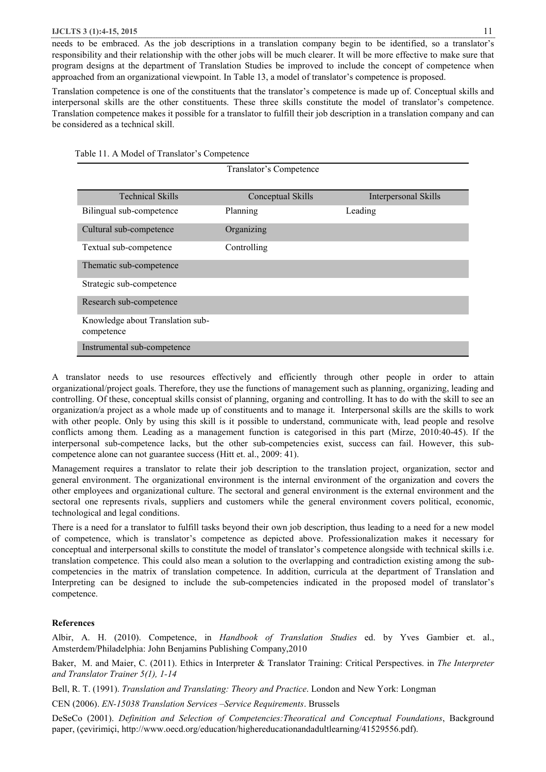#### **IJCLTS 3 (1):4-15, 2015** 11

needs to be embraced. As the job descriptions in a translation company begin to be identified, so a translator's responsibility and their relationship with the other jobs will be much clearer. It will be more effective to make sure that program designs at the department of Translation Studies be improved to include the concept of competence when approached from an organizational viewpoint. In Table 13, a model of translator's competence is proposed.

Translation competence is one of the constituents that the translator's competence is made up of. Conceptual skills and interpersonal skills are the other constituents. These three skills constitute the model of translator's competence. Translation competence makes it possible for a translator to fulfill their job description in a translation company and can be considered as a technical skill.

| Translator's Competence                        |                   |                      |  |  |  |  |
|------------------------------------------------|-------------------|----------------------|--|--|--|--|
| <b>Technical Skills</b>                        | Conceptual Skills | Interpersonal Skills |  |  |  |  |
| Bilingual sub-competence                       | Planning          | Leading              |  |  |  |  |
| Cultural sub-competence                        | Organizing        |                      |  |  |  |  |
| Textual sub-competence                         | Controlling       |                      |  |  |  |  |
| Thematic sub-competence                        |                   |                      |  |  |  |  |
| Strategic sub-competence                       |                   |                      |  |  |  |  |
| Research sub-competence                        |                   |                      |  |  |  |  |
| Knowledge about Translation sub-<br>competence |                   |                      |  |  |  |  |
| Instrumental sub-competence                    |                   |                      |  |  |  |  |

A translator needs to use resources effectively and efficiently through other people in order to attain organizational/project goals. Therefore, they use the functions of management such as planning, organizing, leading and controlling. Of these, conceptual skills consist of planning, organing and controlling. It has to do with the skill to see an organization/a project as a whole made up of constituents and to manage it. Interpersonal skills are the skills to work with other people. Only by using this skill is it possible to understand, communicate with, lead people and resolve conflicts among them. Leading as a management function is categorised in this part (Mirze, 2010:40-45). If the interpersonal sub-competence lacks, but the other sub-competencies exist, success can fail. However, this subcompetence alone can not guarantee success (Hitt et. al., 2009: 41).

Management requires a translator to relate their job description to the translation project, organization, sector and general environment. The organizational environment is the internal environment of the organization and covers the other employees and organizational culture. The sectoral and general environment is the external environment and the sectoral one represents rivals, suppliers and customers while the general environment covers political, economic, technological and legal conditions.

There is a need for a translator to fulfill tasks beyond their own job description, thus leading to a need for a new model of competence, which is translator's competence as depicted above. Professionalization makes it necessary for conceptual and interpersonal skills to constitute the model of translator's competence alongside with technical skills i.e. translation competence. This could also mean a solution to the overlapping and contradiction existing among the subcompetencies in the matrix of translation competence. In addition, curricula at the department of Translation and Interpreting can be designed to include the sub-competencies indicated in the proposed model of translator's competence.

# **References**

Albir, A. H. (2010). Competence, in *Handbook of Translation Studies* ed. by Yves Gambier et. al., Amsterdem/Philadelphia: John Benjamins Publishing Company,2010

Baker, M. and Maier, C. (2011). Ethics in Interpreter & Translator Training: Critical Perspectives. in *The Interpreter and Translator Trainer 5(1), 1-14*

Bell, R. T. (1991). *Translation and Translating: Theory and Practice*. London and New York: Longman

CEN (2006). *EN-15038 Translation Services –Service Requirements*. Brussels

DeSeCo (2001). *Definition and Selection of Competencies:Theoratical and Conceptual Foundations*, Background paper, (çevirimiçi, http://www.oecd.org/education/highereducationandadultlearning/41529556.pdf).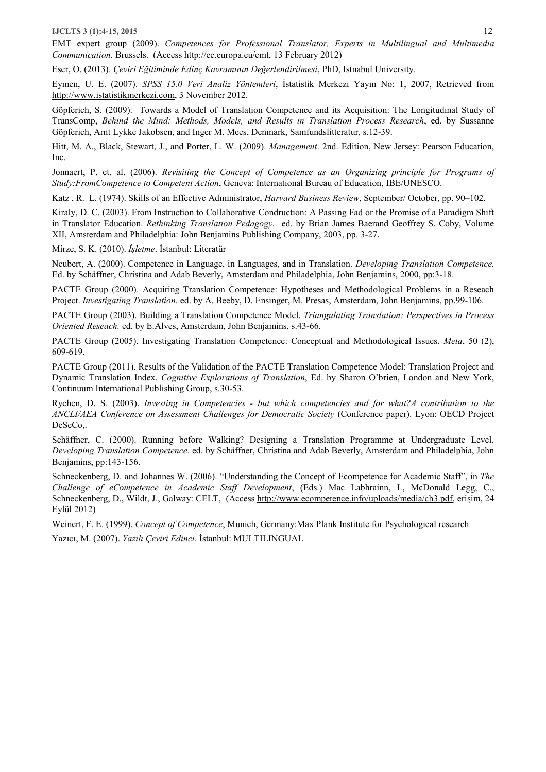EMT expert group (2009). *Competences for Professional Translator, Experts in Multilingual and Multimedia Communication*. Brussels. (Access http://ec.europa.eu/emt, 13 February 2012)

Eser, O. (2013). *Çeviri Eğitiminde Edinç Kavramının Değerlendirilmesi*, PhD, Istnabul University.

Eymen, U. E. (2007). *SPSS 15.0 Veri Analiz Yöntemleri*, İstatistik Merkezi Yayın No: 1, 2007, Retrieved from http://www.istatistikmerkezi.com, 3 November 2012.

Göpferich, S. (2009). Towards a Model of Translation Competence and its Acquisition: The Longitudinal Study of TransComp, *Behind the Mind: Methods, Models, and Results in Translation Process Research*, ed. by Sussanne Göpferich, Arnt Lykke Jakobsen, and Inger M. Mees, Denmark, Samfundslitteratur, s.12-39.

Hitt, M. A., Black, Stewart, J., and Porter, L. W. (2009). *Management*. 2nd. Edition, New Jersey: Pearson Education, Inc.

Jonnaert, P. et. al. (2006). *Revisiting the Concept of Competence as an Organizing principle for Programs of Study:FromCompetence to Competent Action*, Geneva: International Bureau of Education, IBE/UNESCO.

Katz , R. L. (1974). Skills of an Effective Administrator, *Harvard Business Review*, September/ October, pp. 90–102.

Kiraly, D. C. (2003). From Instruction to Collaborative Condruction: A Passing Fad or the Promise of a Paradigm Shift in Translator Education. *Rethinking Translation Pedagogy.* ed. by Brian James Baerand Geoffrey S. Coby, Volume XII, Amsterdam and Philadelphia: John Benjamins Publishing Company, 2003, pp. 3-27.

Mirze, S. K. (2010). *İşletme*. İstanbul: Literatür

Neubert, A. (2000). Competence in Language, in Languages, and in Translation. *Developing Translation Competence.* Ed. by Schäffner, Christina and Adab Beverly, Amsterdam and Philadelphia, John Benjamins, 2000, pp:3-18.

PACTE Group (2000). Acquiring Translation Competence: Hypotheses and Methodological Problems in a Reseach Project. *Investigating Translation*. ed. by A. Beeby, D. Ensinger, M. Presas, Amsterdam, John Benjamins, pp.99-106.

PACTE Group (2003). Building a Translation Competence Model. *Triangulating Translation: Perspectives in Process Oriented Reseach.* ed. by E.Alves, Amsterdam, John Benjamins, s.43-66.

PACTE Group (2005). Investigating Translation Competence: Conceptual and Methodological Issues. *Meta*, 50 (2), 609-619.

PACTE Group (2011). Results of the Validation of the PACTE Translation Competence Model: Translation Project and Dynamic Translation Index. *Cognitive Explorations of Translation*, Ed. by Sharon O'brien, London and New York, Continuum International Publishing Group, s.30-53.

Rychen, D. S. (2003). *Investing in Competencies - but which competencies and for what?A contribution to the ANCLI/AEA Conference on Assessment Challenges for Democratic Society* (Conference paper). Lyon: OECD Project DeSeCo,.

Schäffner, C. (2000). Running before Walking? Designing a Translation Programme at Undergraduate Level. *Developing Translation Competence*. ed. by Schäffner, Christina and Adab Beverly, Amsterdam and Philadelphia, John Benjamins, pp:143-156.

Schneckenberg, D. and Johannes W. (2006). "Understanding the Concept of Ecompetence for Academic Staff", in *The Challenge of eCompetence in Academic Staff Development*, (Eds.) Mac Labhrainn, I., McDonald Legg, C., Schneckenberg, D., Wildt, J., Galway: CELT, (Access http://www.ecompetence.info/uploads/media/ch3.pdf, erişim, 24 Eylül 2012)

Weinert, F. E. (1999). *Concept of Competence*, Munich, Germany:Max Plank Institute for Psychological research Yazıcı, M. (2007). *Yazılı Çeviri Edinci*. İstanbul: MULTILINGUAL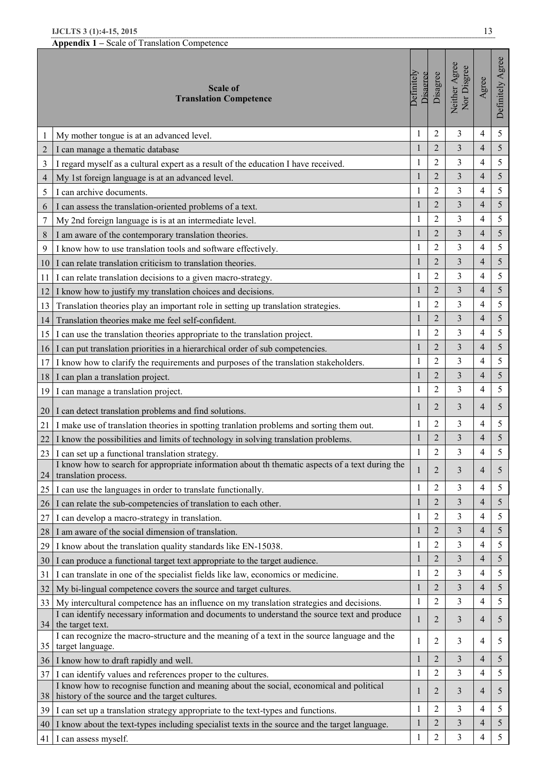|                | IJCLTS 3 (1):4-15, 2015                                                                                                                   |                        |                |                              | 13             |                  |
|----------------|-------------------------------------------------------------------------------------------------------------------------------------------|------------------------|----------------|------------------------------|----------------|------------------|
|                | Appendix 1 – Scale of Translation Competence                                                                                              |                        |                |                              |                |                  |
|                | <b>Scale of</b><br><b>Translation Competence</b>                                                                                          | Definitely<br>Disagree | Disagree       | Neither Agree<br>Nor Disgree | Agree          | Definitely Agree |
| 1              | My mother tongue is at an advanced level.                                                                                                 | $\mathbf{1}$           | $\overline{2}$ | 3                            | 4              | 5                |
| $\overline{2}$ | I can manage a thematic database                                                                                                          | $\mathbf{1}$           | $\overline{2}$ | 3                            | $\overline{4}$ | 5                |
| 3              | I regard myself as a cultural expert as a result of the education I have received.                                                        | 1                      | $\overline{2}$ | 3                            | $\overline{4}$ | 5                |
| $\overline{4}$ | My 1st foreign language is at an advanced level.                                                                                          | $\mathbf{1}$           | $\overline{2}$ | 3                            | $\overline{4}$ | 5                |
| 5              | I can archive documents.                                                                                                                  | $\mathbf{1}$           | $\overline{2}$ | 3                            | $\overline{4}$ | 5                |
| 6              | I can assess the translation-oriented problems of a text.                                                                                 | 1                      | $\overline{2}$ | 3                            | $\overline{4}$ | 5                |
| $\overline{7}$ | My 2nd foreign language is is at an intermediate level.                                                                                   | $\mathbf{1}$           | $\overline{2}$ | 3                            | 4              | 5                |
| 8              | I am aware of the contemporary translation theories.                                                                                      | $\mathbf{1}$           | $\overline{2}$ | 3                            | $\overline{4}$ | 5                |
| 9              | I know how to use translation tools and software effectively.                                                                             | $\mathbf{1}$           | $\overline{2}$ | 3                            | $\overline{4}$ | 5                |
| 10             | I can relate translation criticism to translation theories.                                                                               | $\mathbf{1}$           | $\overline{2}$ | 3                            | $\overline{4}$ | 5                |
| 11             | I can relate translation decisions to a given macro-strategy.                                                                             | 1                      | $\overline{2}$ | 3                            | $\overline{4}$ | 5                |
| 12             | I know how to justify my translation choices and decisions.                                                                               | $\mathbf{1}$           | $\overline{2}$ | 3                            | $\overline{4}$ | 5                |
| 13             | Translation theories play an important role in setting up translation strategies.                                                         | $\mathbf{1}$           | $\overline{2}$ | 3                            | $\overline{4}$ | 5                |
| 14             | Translation theories make me feel self-confident.                                                                                         | $\mathbf{1}$           | $\overline{2}$ | 3                            | $\overline{4}$ | 5                |
| 15             | I can use the translation theories appropriate to the translation project.                                                                | 1                      | $\overline{2}$ | 3                            | 4              | 5                |
| 16             | I can put translation priorities in a hierarchical order of sub competencies.                                                             | $\mathbf{1}$           | $\overline{2}$ | 3                            | $\overline{4}$ | 5                |
| 17             | I know how to clarify the requirements and purposes of the translation stakeholders.                                                      | $\mathbf{1}$           | $\overline{2}$ | 3                            | 4              | 5                |
| 18             | I can plan a translation project.                                                                                                         | $\mathbf{1}$           | $\overline{2}$ | 3                            | $\overline{4}$ | 5                |
| 19             | I can manage a translation project.                                                                                                       | $\mathbf{1}$           | $\overline{2}$ | 3                            | $\overline{4}$ | 5                |
| 20             | I can detect translation problems and find solutions.                                                                                     | 1                      | 2              | 3                            | $\overline{4}$ | 5                |
| 21             | I make use of translation theories in spotting tranlation problems and sorting them out.                                                  | 1                      | $\overline{2}$ | 3                            | 4              | 5                |
| 22             | I know the possibilities and limits of technology in solving translation problems.                                                        | $\mathbf 1$            | $\overline{c}$ | $\overline{\mathbf{3}}$      | $\overline{4}$ | 5                |
| 23             | I can set up a functional translation strategy.                                                                                           | $\mathbf{1}$           | $\overline{2}$ | 3                            | 4              | 5                |
| 24             | I know how to search for appropriate information about th thematic aspects of a text during the<br>translation process.                   |                        | $\overline{2}$ | 3                            | $\overline{4}$ | 5                |
| 25             | I can use the languages in order to translate functionally.                                                                               | $\mathbf{1}$           | $\overline{2}$ | 3                            | $\overline{4}$ | 5                |
| 26             | I can relate the sub-competencies of translation to each other.                                                                           | 1                      | $\overline{2}$ | 3                            | $\overline{4}$ | 5                |
| 27             | I can develop a macro-strategy in translation.                                                                                            | $\mathbf{1}$           | $\overline{2}$ | 3                            | $\overline{4}$ | 5                |
| 28             | I am aware of the social dimension of translation.                                                                                        | 1                      | $\overline{2}$ | 3                            | $\overline{4}$ | 5                |
| 29             | I know about the translation quality standards like EN-15038.                                                                             | $\mathbf{1}$           | $\overline{2}$ | 3                            | 4              | 5                |
| 30             | I can produce a functional target text appropriate to the target audience.                                                                | $\mathbf{1}$           | $\overline{2}$ | 3                            | $\overline{4}$ | 5                |
| 31             | I can translate in one of the specialist fields like law, economics or medicine.                                                          | $\mathbf{1}$           | $\overline{2}$ | 3                            | 4              | 5                |
| 32             | My bi-lingual competence covers the source and target cultures.                                                                           | 1                      | $\overline{2}$ | 3                            | $\overline{4}$ | 5                |
| 33             | My intercultural competence has an influence on my translation strategies and decisions.                                                  | $\mathbf{1}$           | 2              | 3                            | 4              | 5                |
| 34             | I can identify necessary information and documents to understand the source text and produce<br>the target text.                          | 1                      | 2              | 3                            | $\overline{4}$ | 5                |
| 35             | I can recognize the macro-structure and the meaning of a text in the source language and the<br>target language.                          | 1                      | 2              | 3                            | $\overline{4}$ | 5                |
| 36             | I know how to draft rapidly and well.                                                                                                     | $\mathbf{1}$           | $\overline{2}$ | 3                            | $\overline{4}$ | 5                |
| 37             | I can identify values and references proper to the cultures.                                                                              | $\mathbf{1}$           | 2              | 3                            | $\overline{4}$ | 5                |
| 38             | I know how to recognise function and meaning about the social, economical and political<br>history of the source and the target cultures. | 1                      | 2              | 3                            | $\overline{4}$ | 5                |
| 39             | I can set up a translation strategy appropriate to the text-types and functions.                                                          | $\mathbf{1}$           | $\overline{2}$ | 3                            | 4              | 5                |
| 40             | I know about the text-types including specialist texts in the source and the target language.                                             | 1                      | $\overline{2}$ | 3                            | $\overline{4}$ | 5                |
| 41             | I can assess myself.                                                                                                                      | 1                      | $\overline{2}$ | 3                            | $\overline{4}$ | 5                |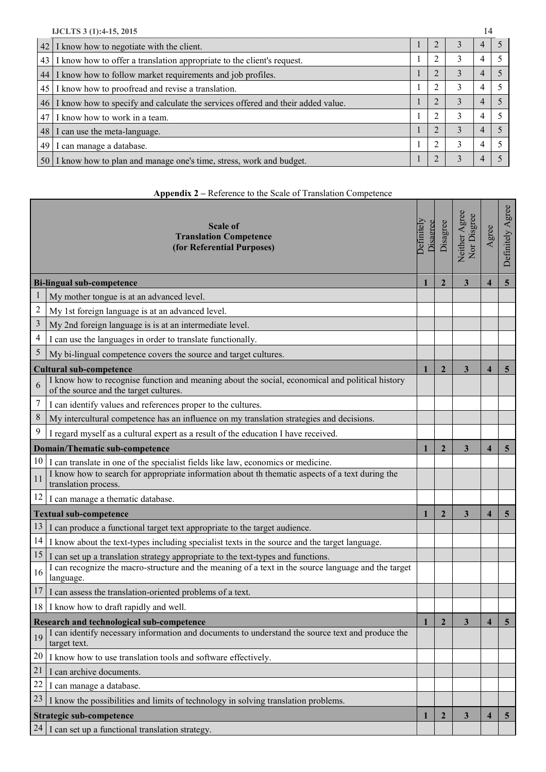| IJCLTS 3 (1):4-15, 2015 |                                                                                    |  |   | 14 |  |
|-------------------------|------------------------------------------------------------------------------------|--|---|----|--|
|                         | 42 I know how to negotiate with the client.                                        |  | 3 | 4  |  |
|                         | 43 I know how to offer a translation appropriate to the client's request.          |  |   | 4  |  |
|                         | 44 I know how to follow market requirements and job profiles.                      |  |   | 4  |  |
|                         | 45 I know how to proofread and revise a translation.                               |  |   | 4  |  |
|                         | 46 I know how to specify and calculate the services offered and their added value. |  |   | 4  |  |
|                         | 47 I know how to work in a team.                                                   |  | 3 | 4  |  |
|                         | 48 I can use the meta-language.                                                    |  |   |    |  |
| 49                      | I can manage a database.                                                           |  | 3 | 4  |  |
|                         | 50 I know how to plan and manage one's time, stress, work and budget.              |  |   | 4  |  |

# **Appendix 2 –** Reference to the Scale of Translation Competence

Т ┰

п

т

a pro п

Г

| <b>Scale of</b><br><b>Translation Competence</b><br>(for Referential Purposes) |                                                                                                                                           | Disagree<br><b>Definitel</b> | Disagree       | Neither Agree<br>Nor Disgree | Agree                   | Definitely Agree |
|--------------------------------------------------------------------------------|-------------------------------------------------------------------------------------------------------------------------------------------|------------------------------|----------------|------------------------------|-------------------------|------------------|
|                                                                                | <b>Bi-lingual sub-competence</b>                                                                                                          |                              | $\overline{2}$ | 3                            | $\overline{\mathbf{4}}$ | $\overline{5}$   |
| 1                                                                              | My mother tongue is at an advanced level.                                                                                                 |                              |                |                              |                         |                  |
| $\sqrt{2}$                                                                     | My 1st foreign language is at an advanced level.                                                                                          |                              |                |                              |                         |                  |
| $\mathfrak{Z}$                                                                 | My 2nd foreign language is is at an intermediate level.                                                                                   |                              |                |                              |                         |                  |
| $\overline{4}$                                                                 | I can use the languages in order to translate functionally.                                                                               |                              |                |                              |                         |                  |
| 5                                                                              | My bi-lingual competence covers the source and target cultures.                                                                           |                              |                |                              |                         |                  |
|                                                                                | <b>Cultural sub-competence</b>                                                                                                            | 1                            | $\overline{2}$ | $\overline{\mathbf{3}}$      | $\boldsymbol{4}$        | $\overline{5}$   |
| 6                                                                              | I know how to recognise function and meaning about the social, economical and political history<br>of the source and the target cultures. |                              |                |                              |                         |                  |
| 7                                                                              | I can identify values and references proper to the cultures.                                                                              |                              |                |                              |                         |                  |
| $\,8\,$                                                                        | My intercultural competence has an influence on my translation strategies and decisions.                                                  |                              |                |                              |                         |                  |
| 9                                                                              | I regard myself as a cultural expert as a result of the education I have received.                                                        |                              |                |                              |                         |                  |
|                                                                                | <b>Domain/Thematic sub-competence</b>                                                                                                     |                              | $\overline{2}$ | 3                            | $\boldsymbol{4}$        | $\overline{5}$   |
| 10                                                                             | I can translate in one of the specialist fields like law, economics or medicine.                                                          |                              |                |                              |                         |                  |
| 11                                                                             | I know how to search for appropriate information about th thematic aspects of a text during the<br>translation process.                   |                              |                |                              |                         |                  |
| 12                                                                             | I can manage a thematic database.                                                                                                         |                              |                |                              |                         |                  |
|                                                                                | <b>Textual sub-competence</b>                                                                                                             |                              | $\overline{2}$ | 3                            | $\overline{\mathbf{4}}$ | $5\overline{)}$  |
| 13                                                                             | I can produce a functional target text appropriate to the target audience.                                                                |                              |                |                              |                         |                  |
| 14                                                                             | I know about the text-types including specialist texts in the source and the target language.                                             |                              |                |                              |                         |                  |
| 15                                                                             | I can set up a translation strategy appropriate to the text-types and functions.                                                          |                              |                |                              |                         |                  |
| 16                                                                             | I can recognize the macro-structure and the meaning of a text in the source language and the target<br>language.                          |                              |                |                              |                         |                  |
| 17                                                                             | I can assess the translation-oriented problems of a text.                                                                                 |                              |                |                              |                         |                  |
|                                                                                | 18 I know how to draft rapidly and well.                                                                                                  |                              |                |                              |                         |                  |
| <b>Research and technological sub-competence</b>                               |                                                                                                                                           | 1                            | $\overline{2}$ | 3                            | 4                       | 5                |
| 19                                                                             | can identify necessary information and documents to understand the source text and produce the<br>target text.                            |                              |                |                              |                         |                  |
| 20                                                                             | I know how to use translation tools and software effectively.                                                                             |                              |                |                              |                         |                  |
| 21                                                                             | I can archive documents.                                                                                                                  |                              |                |                              |                         |                  |
| 22                                                                             | I can manage a database.                                                                                                                  |                              |                |                              |                         |                  |
| 23                                                                             | I know the possibilities and limits of technology in solving translation problems.                                                        |                              |                |                              |                         |                  |
|                                                                                | Strategic sub-competence                                                                                                                  | 1                            | $\overline{2}$ | $\mathbf{3}$                 | $\overline{\mathbf{4}}$ | $\overline{5}$   |
| 24                                                                             | I can set up a functional translation strategy.                                                                                           |                              |                |                              |                         |                  |